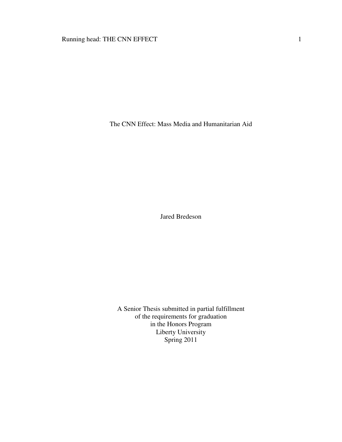# Running head: THE CNN EFFECT 1

The CNN Effect: Mass Media and Humanitarian Aid

Jared Bredeson

A Senior Thesis submitted in partial fulfillment of the requirements for graduation in the Honors Program Liberty University Spring 2011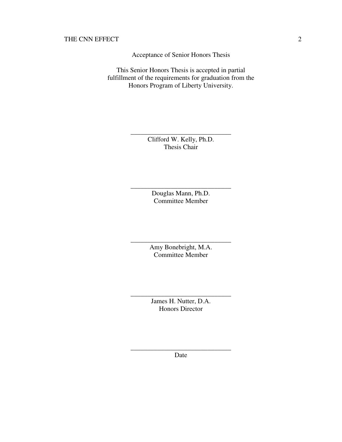Acceptance of Senior Honors Thesis

This Senior Honors Thesis is accepted in partial fulfillment of the requirements for graduation from the Honors Program of Liberty University.

> Clifford W. Kelly, Ph.D. Thesis Chair

\_\_\_\_\_\_\_\_\_\_\_\_\_\_\_\_\_\_\_\_\_\_\_\_\_\_\_\_\_\_

Douglas Mann, Ph.D. Committee Member

\_\_\_\_\_\_\_\_\_\_\_\_\_\_\_\_\_\_\_\_\_\_\_\_\_\_\_\_\_\_

Amy Bonebright, M.A. Committee Member

\_\_\_\_\_\_\_\_\_\_\_\_\_\_\_\_\_\_\_\_\_\_\_\_\_\_\_\_\_\_

James H. Nutter, D.A. Honors Director

\_\_\_\_\_\_\_\_\_\_\_\_\_\_\_\_\_\_\_\_\_\_\_\_\_\_\_\_\_\_

\_\_\_\_\_\_\_\_\_\_\_\_\_\_\_\_\_\_\_\_\_\_\_\_\_\_\_\_\_\_ Date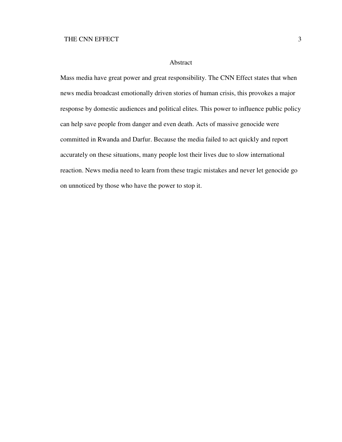### Abstract

Mass media have great power and great responsibility. The CNN Effect states that when news media broadcast emotionally driven stories of human crisis, this provokes a major response by domestic audiences and political elites. This power to influence public policy can help save people from danger and even death. Acts of massive genocide were committed in Rwanda and Darfur. Because the media failed to act quickly and report accurately on these situations, many people lost their lives due to slow international reaction. News media need to learn from these tragic mistakes and never let genocide go on unnoticed by those who have the power to stop it.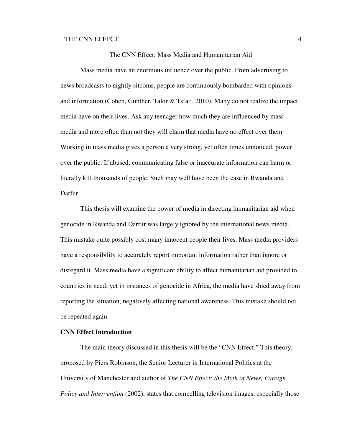The CNN Effect: Mass Media and Humanitarian Aid

Mass media have an enormous influence over the public. From advertising to news broadcasts to nightly sitcoms, people are continuously bombarded with opinions and information (Cohen, Gunther, Talor & Tsfati, 2010). Many do not realize the impact media have on their lives. Ask any teenager how much they are influenced by mass media and more often than not they will claim that media have no effect over them. Working in mass media gives a person a very strong, yet often times unnoticed, power over the public. If abused, communicating false or inaccurate information can harm or literally kill thousands of people. Such may well have been the case in Rwanda and Darfur.

This thesis will examine the power of media in directing humanitarian aid when genocide in Rwanda and Darfur was largely ignored by the international news media. This mistake quite possibly cost many innocent people their lives. Mass media providers have a responsibility to accurately report important information rather than ignore or disregard it. Mass media have a significant ability to affect humanitarian aid provided to countries in need; yet in instances of genocide in Africa, the media have shied away from reporting the situation, negatively affecting national awareness. This mistake should not be repeated again.

## **CNN Effect Introduction**

The main theory discussed in this thesis will be the "CNN Effect." This theory, proposed by Piers Robinson, the Senior Lecturer in International Politics at the University of Manchester and author of *The CNN Effect: the Myth of News, Foreign Policy and Intervention* (2002), states that compelling television images, especially those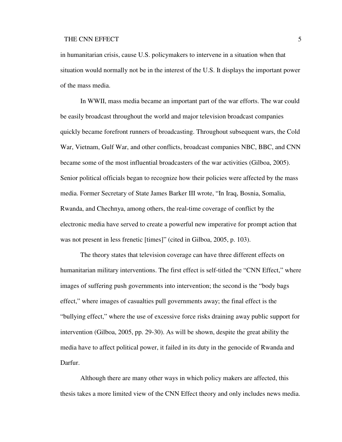in humanitarian crisis, cause U.S. policymakers to intervene in a situation when that situation would normally not be in the interest of the U.S. It displays the important power of the mass media.

In WWII, mass media became an important part of the war efforts. The war could be easily broadcast throughout the world and major television broadcast companies quickly became forefront runners of broadcasting. Throughout subsequent wars, the Cold War, Vietnam, Gulf War, and other conflicts, broadcast companies NBC, BBC, and CNN became some of the most influential broadcasters of the war activities (Gilboa, 2005). Senior political officials began to recognize how their policies were affected by the mass media. Former Secretary of State James Barker III wrote, "In Iraq, Bosnia, Somalia, Rwanda, and Chechnya, among others, the real-time coverage of conflict by the electronic media have served to create a powerful new imperative for prompt action that was not present in less frenetic [times]" (cited in Gilboa, 2005, p. 103).

The theory states that television coverage can have three different effects on humanitarian military interventions. The first effect is self-titled the "CNN Effect," where images of suffering push governments into intervention; the second is the "body bags effect," where images of casualties pull governments away; the final effect is the "bullying effect," where the use of excessive force risks draining away public support for intervention (Gilboa, 2005, pp. 29-30). As will be shown, despite the great ability the media have to affect political power, it failed in its duty in the genocide of Rwanda and Darfur.

Although there are many other ways in which policy makers are affected, this thesis takes a more limited view of the CNN Effect theory and only includes news media.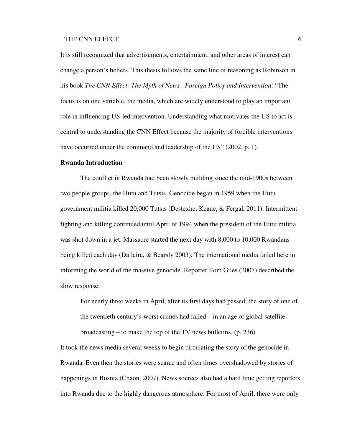It is still recognized that advertisements, entertainment, and other areas of interest can change a person's beliefs. This thesis follows the same line of reasoning as Robinson in his book *The CNN Effect: The Myth of News , Foreign Policy and Intervention*: "The focus is on one variable, the media, which are widely understood to play an important role in influencing US-led intervention. Understanding what motivates the US to act is central to understanding the CNN Effect because the majority of forcible interventions have occurred under the command and leadership of the US" (2002, p. 1).

## **Rwanda Introduction**

The conflict in Rwanda had been slowly building since the mid-1900s between two people groups, the Hutu and Tutsis. Genocide began in 1959 when the Hutu government militia killed 20,000 Tutsis (Destexhe, Keane, & Fergal, 2011). Intermittent fighting and killing continued until April of 1994 when the president of the Hutu militia was shot down in a jet. Massacre started the next day with 8,000 to 10,000 Rwandans being killed each day (Dallaire, & Bearsly 2003). The international media failed here in informing the world of the massive genocide. Reporter Tom Giles (2007) described the slow response:

For nearly three weeks in April, after its first days had passed, the story of one of the twentieth century's worst crimes had failed – in an age of global satellite broadcasting – to make the top of the TV news bulletins. (p. 236)

It took the news media several weeks to begin circulating the story of the genocide in Rwanda. Even then the stories were scarce and often times overshadowed by stories of happenings in Bosnia (Chaon, 2007). News sources also had a hard time getting reporters into Rwanda due to the highly dangerous atmosphere. For most of April, there were only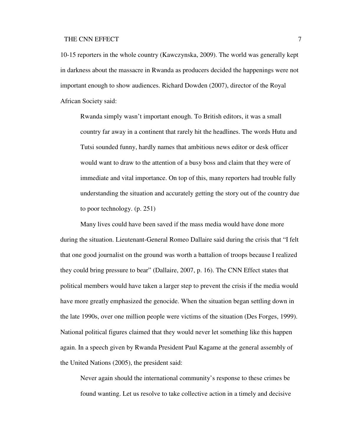10-15 reporters in the whole country (Kawczynska, 2009). The world was generally kept in darkness about the massacre in Rwanda as producers decided the happenings were not important enough to show audiences. Richard Dowden (2007), director of the Royal African Society said:

Rwanda simply wasn't important enough. To British editors, it was a small country far away in a continent that rarely hit the headlines. The words Hutu and Tutsi sounded funny, hardly names that ambitious news editor or desk officer would want to draw to the attention of a busy boss and claim that they were of immediate and vital importance. On top of this, many reporters had trouble fully understanding the situation and accurately getting the story out of the country due to poor technology. (p. 251)

 Many lives could have been saved if the mass media would have done more during the situation. Lieutenant-General Romeo Dallaire said during the crisis that "I felt that one good journalist on the ground was worth a battalion of troops because I realized they could bring pressure to bear" (Dallaire, 2007, p. 16). The CNN Effect states that political members would have taken a larger step to prevent the crisis if the media would have more greatly emphasized the genocide. When the situation began settling down in the late 1990s, over one million people were victims of the situation (Des Forges, 1999). National political figures claimed that they would never let something like this happen again. In a speech given by Rwanda President Paul Kagame at the general assembly of the United Nations (2005), the president said:

Never again should the international community's response to these crimes be found wanting. Let us resolve to take collective action in a timely and decisive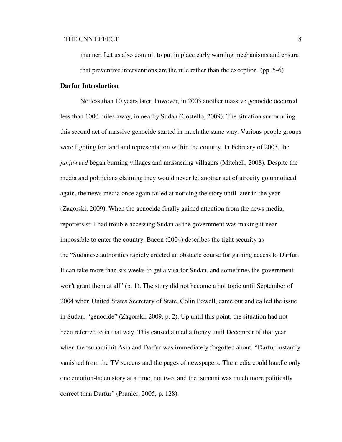manner. Let us also commit to put in place early warning mechanisms and ensure that preventive interventions are the rule rather than the exception. (pp. 5-6)

#### **Darfur Introduction**

 No less than 10 years later, however, in 2003 another massive genocide occurred less than 1000 miles away, in nearby Sudan (Costello, 2009). The situation surrounding this second act of massive genocide started in much the same way. Various people groups were fighting for land and representation within the country. In February of 2003, the *janjaweed* began burning villages and massacring villagers (Mitchell, 2008). Despite the media and politicians claiming they would never let another act of atrocity go unnoticed again, the news media once again failed at noticing the story until later in the year (Zagorski, 2009). When the genocide finally gained attention from the news media, reporters still had trouble accessing Sudan as the government was making it near impossible to enter the country. Bacon (2004) describes the tight security as the "Sudanese authorities rapidly erected an obstacle course for gaining access to Darfur. It can take more than six weeks to get a visa for Sudan, and sometimes the government won't grant them at all" (p. 1). The story did not become a hot topic until September of 2004 when United States Secretary of State, Colin Powell, came out and called the issue in Sudan, "genocide" (Zagorski, 2009, p. 2). Up until this point, the situation had not been referred to in that way. This caused a media frenzy until December of that year when the tsunami hit Asia and Darfur was immediately forgotten about: "Darfur instantly vanished from the TV screens and the pages of newspapers. The media could handle only one emotion-laden story at a time, not two, and the tsunami was much more politically correct than Darfur" (Prunier, 2005, p. 128).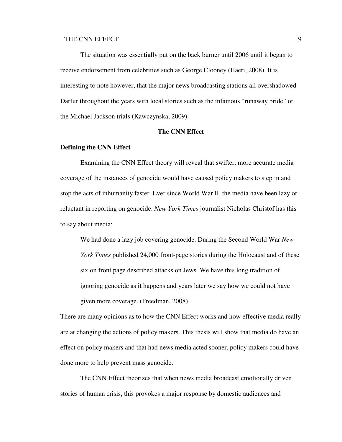The situation was essentially put on the back burner until 2006 until it began to receive endorsement from celebrities such as George Clooney (Haeri, 2008). It is interesting to note however, that the major news broadcasting stations all overshadowed Darfur throughout the years with local stories such as the infamous "runaway bride" or the Michael Jackson trials (Kawczynska, 2009).

### **The CNN Effect**

### **Defining the CNN Effect**

 Examining the CNN Effect theory will reveal that swifter, more accurate media coverage of the instances of genocide would have caused policy makers to step in and stop the acts of inhumanity faster. Ever since World War II, the media have been lazy or reluctant in reporting on genocide. *New York Times* journalist Nicholas Christof has this to say about media:

We had done a lazy job covering genocide. During the Second World War *New York Times* published 24,000 front-page stories during the Holocaust and of these six on front page described attacks on Jews. We have this long tradition of ignoring genocide as it happens and years later we say how we could not have given more coverage. (Freedman, 2008)

There are many opinions as to how the CNN Effect works and how effective media really are at changing the actions of policy makers. This thesis will show that media do have an effect on policy makers and that had news media acted sooner, policy makers could have done more to help prevent mass genocide.

 The CNN Effect theorizes that when news media broadcast emotionally driven stories of human crisis, this provokes a major response by domestic audiences and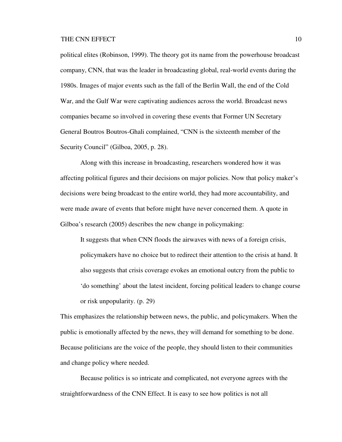political elites (Robinson, 1999). The theory got its name from the powerhouse broadcast company, CNN, that was the leader in broadcasting global, real-world events during the 1980s. Images of major events such as the fall of the Berlin Wall, the end of the Cold War, and the Gulf War were captivating audiences across the world. Broadcast news companies became so involved in covering these events that Former UN Secretary General Boutros Boutros-Ghali complained, "CNN is the sixteenth member of the Security Council" (Gilboa, 2005, p. 28).

 Along with this increase in broadcasting, researchers wondered how it was affecting political figures and their decisions on major policies. Now that policy maker's decisions were being broadcast to the entire world, they had more accountability, and were made aware of events that before might have never concerned them. A quote in Gilboa's research (2005) describes the new change in policymaking:

It suggests that when CNN floods the airwaves with news of a foreign crisis, policymakers have no choice but to redirect their attention to the crisis at hand. It also suggests that crisis coverage evokes an emotional outcry from the public to 'do something' about the latest incident, forcing political leaders to change course or risk unpopularity. (p. 29)

This emphasizes the relationship between news, the public, and policymakers. When the public is emotionally affected by the news, they will demand for something to be done. Because politicians are the voice of the people, they should listen to their communities and change policy where needed.

 Because politics is so intricate and complicated, not everyone agrees with the straightforwardness of the CNN Effect. It is easy to see how politics is not all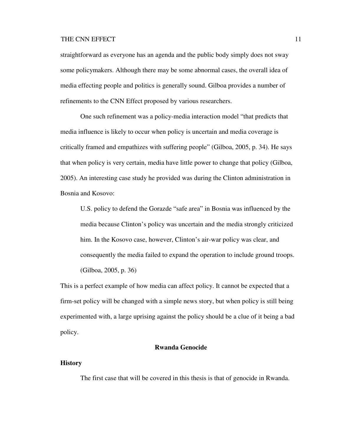straightforward as everyone has an agenda and the public body simply does not sway some policymakers. Although there may be some abnormal cases, the overall idea of media effecting people and politics is generally sound. Gilboa provides a number of refinements to the CNN Effect proposed by various researchers.

 One such refinement was a policy-media interaction model "that predicts that media influence is likely to occur when policy is uncertain and media coverage is critically framed and empathizes with suffering people" (Gilboa, 2005, p. 34). He says that when policy is very certain, media have little power to change that policy (Gilboa, 2005). An interesting case study he provided was during the Clinton administration in Bosnia and Kosovo:

U.S. policy to defend the Gorazde "safe area" in Bosnia was influenced by the media because Clinton's policy was uncertain and the media strongly criticized him. In the Kosovo case, however, Clinton's air-war policy was clear, and consequently the media failed to expand the operation to include ground troops. (Gilboa, 2005, p. 36)

This is a perfect example of how media can affect policy. It cannot be expected that a firm-set policy will be changed with a simple news story, but when policy is still being experimented with, a large uprising against the policy should be a clue of it being a bad policy.

### **Rwanda Genocide**

### **History**

The first case that will be covered in this thesis is that of genocide in Rwanda.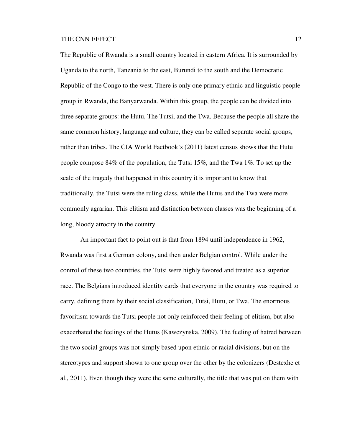The Republic of Rwanda is a small country located in eastern Africa. It is surrounded by Uganda to the north, Tanzania to the east, Burundi to the south and the Democratic Republic of the Congo to the west. There is only one primary ethnic and linguistic people group in Rwanda, the Banyarwanda. Within this group, the people can be divided into three separate groups: the Hutu, The Tutsi, and the Twa. Because the people all share the same common history, language and culture, they can be called separate social groups, rather than tribes. The CIA World Factbook's (2011) latest census shows that the Hutu people compose 84% of the population, the Tutsi 15%, and the Twa 1%. To set up the scale of the tragedy that happened in this country it is important to know that traditionally, the Tutsi were the ruling class, while the Hutus and the Twa were more commonly agrarian. This elitism and distinction between classes was the beginning of a long, bloody atrocity in the country.

 An important fact to point out is that from 1894 until independence in 1962, Rwanda was first a German colony, and then under Belgian control. While under the control of these two countries, the Tutsi were highly favored and treated as a superior race. The Belgians introduced identity cards that everyone in the country was required to carry, defining them by their social classification, Tutsi, Hutu, or Twa. The enormous favoritism towards the Tutsi people not only reinforced their feeling of elitism, but also exacerbated the feelings of the Hutus (Kawczynska, 2009). The fueling of hatred between the two social groups was not simply based upon ethnic or racial divisions, but on the stereotypes and support shown to one group over the other by the colonizers (Destexhe et al., 2011). Even though they were the same culturally, the title that was put on them with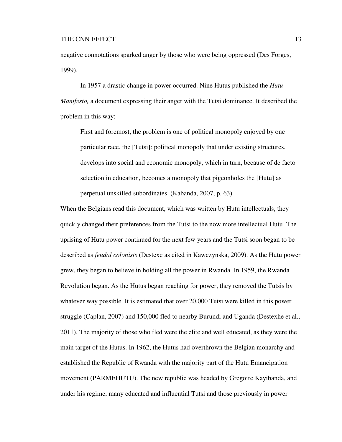negative connotations sparked anger by those who were being oppressed (Des Forges, 1999).

 In 1957 a drastic change in power occurred. Nine Hutus published the *Hutu Manifesto*, a document expressing their anger with the Tutsi dominance. It described the problem in this way:

First and foremost, the problem is one of political monopoly enjoyed by one particular race, the [Tutsi]: political monopoly that under existing structures, develops into social and economic monopoly, which in turn, because of de facto selection in education, becomes a monopoly that pigeonholes the [Hutu] as perpetual unskilled subordinates. (Kabanda, 2007, p. 63)

When the Belgians read this document, which was written by Hutu intellectuals, they quickly changed their preferences from the Tutsi to the now more intellectual Hutu. The uprising of Hutu power continued for the next few years and the Tutsi soon began to be described as *feudal colonists* (Destexe as cited in Kawczynska, 2009). As the Hutu power grew, they began to believe in holding all the power in Rwanda. In 1959, the Rwanda Revolution began. As the Hutus began reaching for power, they removed the Tutsis by whatever way possible. It is estimated that over 20,000 Tutsi were killed in this power struggle (Caplan, 2007) and 150,000 fled to nearby Burundi and Uganda (Destexhe et al., 2011). The majority of those who fled were the elite and well educated, as they were the main target of the Hutus. In 1962, the Hutus had overthrown the Belgian monarchy and established the Republic of Rwanda with the majority part of the Hutu Emancipation movement (PARMEHUTU). The new republic was headed by Gregoire Kayibanda, and under his regime, many educated and influential Tutsi and those previously in power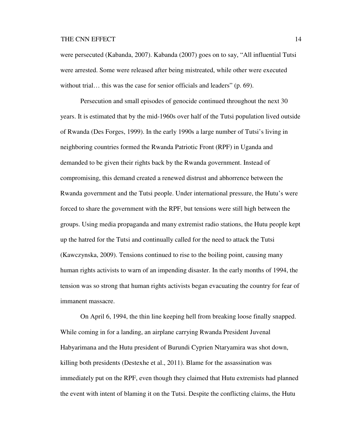were persecuted (Kabanda, 2007). Kabanda (2007) goes on to say, "All influential Tutsi were arrested. Some were released after being mistreated, while other were executed without trial... this was the case for senior officials and leaders" (p. 69).

 Persecution and small episodes of genocide continued throughout the next 30 years. It is estimated that by the mid-1960s over half of the Tutsi population lived outside of Rwanda (Des Forges, 1999). In the early 1990s a large number of Tutsi's living in neighboring countries formed the Rwanda Patriotic Front (RPF) in Uganda and demanded to be given their rights back by the Rwanda government. Instead of compromising, this demand created a renewed distrust and abhorrence between the Rwanda government and the Tutsi people. Under international pressure, the Hutu's were forced to share the government with the RPF, but tensions were still high between the groups. Using media propaganda and many extremist radio stations, the Hutu people kept up the hatred for the Tutsi and continually called for the need to attack the Tutsi (Kawczynska, 2009). Tensions continued to rise to the boiling point, causing many human rights activists to warn of an impending disaster. In the early months of 1994, the tension was so strong that human rights activists began evacuating the country for fear of immanent massacre.

 On April 6, 1994, the thin line keeping hell from breaking loose finally snapped. While coming in for a landing, an airplane carrying Rwanda President Juvenal Habyarimana and the Hutu president of Burundi Cyprien Ntaryamira was shot down, killing both presidents (Destexhe et al., 2011). Blame for the assassination was immediately put on the RPF, even though they claimed that Hutu extremists had planned the event with intent of blaming it on the Tutsi. Despite the conflicting claims, the Hutu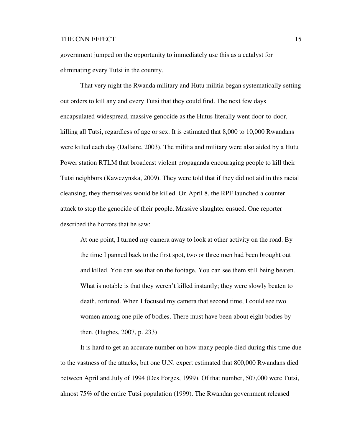government jumped on the opportunity to immediately use this as a catalyst for eliminating every Tutsi in the country.

 That very night the Rwanda military and Hutu militia began systematically setting out orders to kill any and every Tutsi that they could find. The next few days encapsulated widespread, massive genocide as the Hutus literally went door-to-door, killing all Tutsi, regardless of age or sex. It is estimated that 8,000 to 10,000 Rwandans were killed each day (Dallaire, 2003). The militia and military were also aided by a Hutu Power station RTLM that broadcast violent propaganda encouraging people to kill their Tutsi neighbors (Kawczynska, 2009). They were told that if they did not aid in this racial cleansing, they themselves would be killed. On April 8, the RPF launched a counter attack to stop the genocide of their people. Massive slaughter ensued. One reporter described the horrors that he saw:

At one point, I turned my camera away to look at other activity on the road. By the time I panned back to the first spot, two or three men had been brought out and killed. You can see that on the footage. You can see them still being beaten. What is notable is that they weren't killed instantly; they were slowly beaten to death, tortured. When I focused my camera that second time, I could see two women among one pile of bodies. There must have been about eight bodies by then. (Hughes, 2007, p. 233)

 It is hard to get an accurate number on how many people died during this time due to the vastness of the attacks, but one U.N. expert estimated that 800,000 Rwandans died between April and July of 1994 (Des Forges, 1999). Of that number, 507,000 were Tutsi, almost 75% of the entire Tutsi population (1999). The Rwandan government released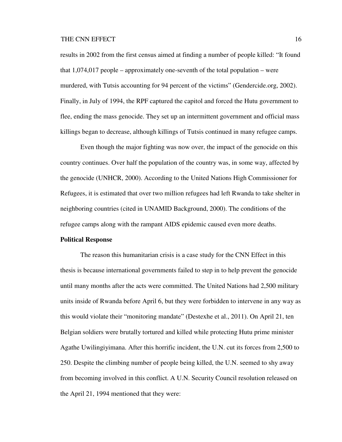results in 2002 from the first census aimed at finding a number of people killed: "It found that  $1,074,017$  people – approximately one-seventh of the total population – were murdered, with Tutsis accounting for 94 percent of the victims" (Gendercide.org, 2002). Finally, in July of 1994, the RPF captured the capitol and forced the Hutu government to flee, ending the mass genocide. They set up an intermittent government and official mass killings began to decrease, although killings of Tutsis continued in many refugee camps.

Even though the major fighting was now over, the impact of the genocide on this country continues. Over half the population of the country was, in some way, affected by the genocide (UNHCR, 2000). According to the United Nations High Commissioner for Refugees, it is estimated that over two million refugees had left Rwanda to take shelter in neighboring countries (cited in UNAMID Background, 2000). The conditions of the refugee camps along with the rampant AIDS epidemic caused even more deaths.

# **Political Response**

The reason this humanitarian crisis is a case study for the CNN Effect in this thesis is because international governments failed to step in to help prevent the genocide until many months after the acts were committed. The United Nations had 2,500 military units inside of Rwanda before April 6, but they were forbidden to intervene in any way as this would violate their "monitoring mandate" (Destexhe et al., 2011). On April 21, ten Belgian soldiers were brutally tortured and killed while protecting Hutu prime minister Agathe Uwilingiyimana. After this horrific incident, the U.N. cut its forces from 2,500 to 250. Despite the climbing number of people being killed, the U.N. seemed to shy away from becoming involved in this conflict. A U.N. Security Council resolution released on the April 21, 1994 mentioned that they were: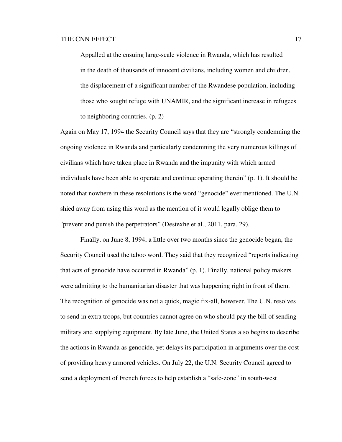Appalled at the ensuing large-scale violence in Rwanda, which has resulted in the death of thousands of innocent civilians, including women and children, the displacement of a significant number of the Rwandese population, including those who sought refuge with UNAMIR, and the significant increase in refugees to neighboring countries. (p. 2)

Again on May 17, 1994 the Security Council says that they are "strongly condemning the ongoing violence in Rwanda and particularly condemning the very numerous killings of civilians which have taken place in Rwanda and the impunity with which armed individuals have been able to operate and continue operating therein" (p. 1). It should be noted that nowhere in these resolutions is the word "genocide" ever mentioned. The U.N. shied away from using this word as the mention of it would legally oblige them to "prevent and punish the perpetrators" (Destexhe et al., 2011, para. 29).

 Finally, on June 8, 1994, a little over two months since the genocide began, the Security Council used the taboo word. They said that they recognized "reports indicating that acts of genocide have occurred in Rwanda" (p. 1). Finally, national policy makers were admitting to the humanitarian disaster that was happening right in front of them. The recognition of genocide was not a quick, magic fix-all, however. The U.N. resolves to send in extra troops, but countries cannot agree on who should pay the bill of sending military and supplying equipment. By late June, the United States also begins to describe the actions in Rwanda as genocide, yet delays its participation in arguments over the cost of providing heavy armored vehicles. On July 22, the U.N. Security Council agreed to send a deployment of French forces to help establish a "safe-zone" in south-west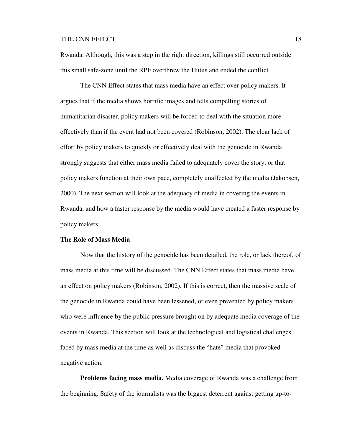Rwanda. Although, this was a step in the right direction, killings still occurred outside this small safe-zone until the RPF overthrew the Hutus and ended the conflict.

 The CNN Effect states that mass media have an effect over policy makers. It argues that if the media shows horrific images and tells compelling stories of humanitarian disaster, policy makers will be forced to deal with the situation more effectively than if the event had not been covered (Robinson, 2002). The clear lack of effort by policy makers to quickly or effectively deal with the genocide in Rwanda strongly suggests that either mass media failed to adequately cover the story, or that policy makers function at their own pace, completely unaffected by the media (Jakobsen, 2000). The next section will look at the adequacy of media in covering the events in Rwanda, and how a faster response by the media would have created a faster response by policy makers.

### **The Role of Mass Media**

Now that the history of the genocide has been detailed, the role, or lack thereof, of mass media at this time will be discussed. The CNN Effect states that mass media have an effect on policy makers (Robinson, 2002). If this is correct, then the massive scale of the genocide in Rwanda could have been lessened, or even prevented by policy makers who were influence by the public pressure brought on by adequate media coverage of the events in Rwanda. This section will look at the technological and logistical challenges faced by mass media at the time as well as discuss the "hate" media that provoked negative action.

**Problems facing mass media.** Media coverage of Rwanda was a challenge from the beginning. Safety of the journalists was the biggest deterrent against getting up-to-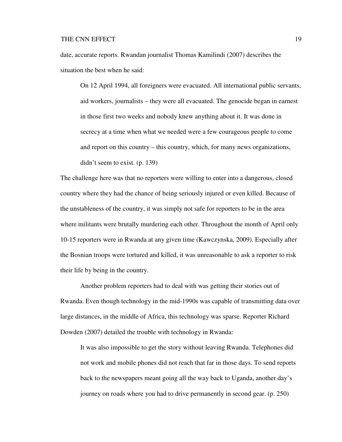date, accurate reports. Rwandan journalist Thomas Kamilindi (2007) describes the situation the best when he said:

On 12 April 1994, all foreigners were evacuated. All international public servants, aid workers, journalists – they were all evacuated. The genocide began in earnest in those first two weeks and nobody knew anything about it. It was done in secrecy at a time when what we needed were a few courageous people to come and report on this country – this country, which, for many news organizations, didn't seem to exist. (p. 139)

The challenge here was that no reporters were willing to enter into a dangerous, closed country where they had the chance of being seriously injured or even killed. Because of the unstableness of the country, it was simply not safe for reporters to be in the area where militants were brutally murdering each other. Throughout the month of April only 10-15 reporters were in Rwanda at any given time (Kawczynska, 2009). Especially after the Bosnian troops were tortured and killed, it was unreasonable to ask a reporter to risk their life by being in the country.

 Another problem reporters had to deal with was getting their stories out of Rwanda. Even though technology in the mid-1990s was capable of transmitting data over large distances, in the middle of Africa, this technology was sparse. Reporter Richard Dowden (2007) detailed the trouble with technology in Rwanda:

It was also impossible to get the story without leaving Rwanda. Telephones did not work and mobile phones did not reach that far in those days. To send reports back to the newspapers meant going all the way back to Uganda, another day's journey on roads where you had to drive permanently in second gear. (p. 250)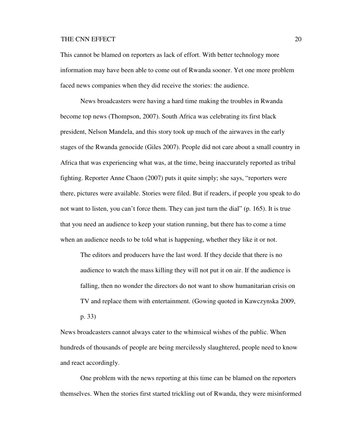This cannot be blamed on reporters as lack of effort. With better technology more information may have been able to come out of Rwanda sooner. Yet one more problem faced news companies when they did receive the stories: the audience.

 News broadcasters were having a hard time making the troubles in Rwanda become top news (Thompson, 2007). South Africa was celebrating its first black president, Nelson Mandela, and this story took up much of the airwaves in the early stages of the Rwanda genocide (Giles 2007). People did not care about a small country in Africa that was experiencing what was, at the time, being inaccurately reported as tribal fighting. Reporter Anne Chaon (2007) puts it quite simply; she says, "reporters were there, pictures were available. Stories were filed. But if readers, if people you speak to do not want to listen, you can't force them. They can just turn the dial" (p. 165). It is true that you need an audience to keep your station running, but there has to come a time when an audience needs to be told what is happening, whether they like it or not.

The editors and producers have the last word. If they decide that there is no audience to watch the mass killing they will not put it on air. If the audience is falling, then no wonder the directors do not want to show humanitarian crisis on TV and replace them with entertainment. (Gowing quoted in Kawczynska 2009, p. 33)

News broadcasters cannot always cater to the whimsical wishes of the public. When hundreds of thousands of people are being mercilessly slaughtered, people need to know and react accordingly.

 One problem with the news reporting at this time can be blamed on the reporters themselves. When the stories first started trickling out of Rwanda, they were misinformed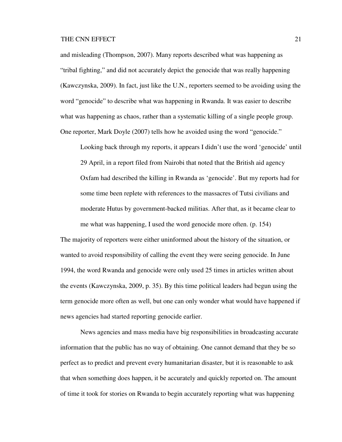and misleading (Thompson, 2007). Many reports described what was happening as "tribal fighting," and did not accurately depict the genocide that was really happening (Kawczynska, 2009). In fact, just like the U.N., reporters seemed to be avoiding using the word "genocide" to describe what was happening in Rwanda. It was easier to describe what was happening as chaos, rather than a systematic killing of a single people group. One reporter, Mark Doyle (2007) tells how he avoided using the word "genocide."

Looking back through my reports, it appears I didn't use the word 'genocide' until 29 April, in a report filed from Nairobi that noted that the British aid agency Oxfam had described the killing in Rwanda as 'genocide'. But my reports had for some time been replete with references to the massacres of Tutsi civilians and moderate Hutus by government-backed militias. After that, as it became clear to me what was happening, I used the word genocide more often. (p. 154)

The majority of reporters were either uninformed about the history of the situation, or wanted to avoid responsibility of calling the event they were seeing genocide. In June 1994, the word Rwanda and genocide were only used 25 times in articles written about the events (Kawczynska, 2009, p. 35). By this time political leaders had begun using the term genocide more often as well, but one can only wonder what would have happened if news agencies had started reporting genocide earlier.

 News agencies and mass media have big responsibilities in broadcasting accurate information that the public has no way of obtaining. One cannot demand that they be so perfect as to predict and prevent every humanitarian disaster, but it is reasonable to ask that when something does happen, it be accurately and quickly reported on. The amount of time it took for stories on Rwanda to begin accurately reporting what was happening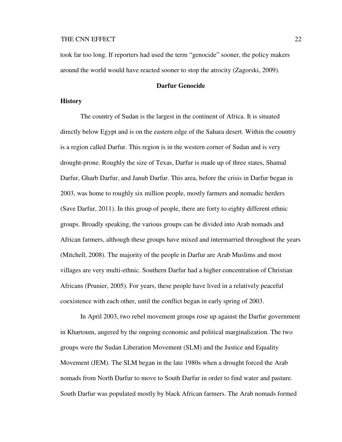took far too long. If reporters had used the term "genocide" sooner, the policy makers around the world would have reacted sooner to stop the atrocity (Zagorski, 2009).

### **Darfur Genocide**

### **History**

The country of Sudan is the largest in the continent of Africa. It is situated directly below Egypt and is on the eastern edge of the Sahara desert. Within the country is a region called Darfur. This region is in the western corner of Sudan and is very drought-prone. Roughly the size of Texas, Darfur is made up of three states, Shamal Darfur, Gharb Darfur, and Janub Darfur. This area, before the crisis in Darfur began in 2003, was home to roughly six million people, mostly farmers and nomadic herders (Save Darfur, 2011). In this group of people, there are forty to eighty different ethnic groups. Broadly speaking, the various groups can be divided into Arab nomads and African farmers, although these groups have mixed and intermarried throughout the years (Mitchell, 2008). The majority of the people in Darfur are Arab Muslims and most villages are very multi-ethnic. Southern Darfur had a higher concentration of Christian Africans (Prunier, 2005). For years, these people have lived in a relatively peaceful coexistence with each other, until the conflict began in early spring of 2003.

 In April 2003, two rebel movement groups rose up against the Darfur government in Khartoum, angered by the ongoing economic and political marginalization. The two groups were the Sudan Liberation Movement (SLM) and the Justice and Equality Movement (JEM). The SLM began in the late 1980s when a drought forced the Arab nomads from North Darfur to move to South Darfur in order to find water and pasture. South Darfur was populated mostly by black African farmers. The Arab nomads formed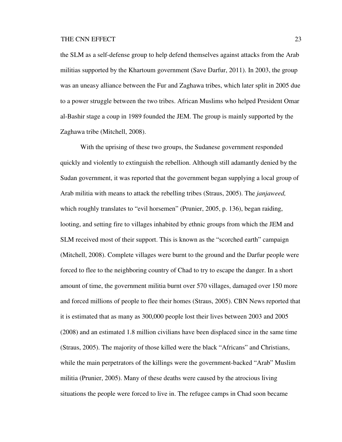the SLM as a self-defense group to help defend themselves against attacks from the Arab militias supported by the Khartoum government (Save Darfur, 2011). In 2003, the group was an uneasy alliance between the Fur and Zaghawa tribes, which later split in 2005 due to a power struggle between the two tribes. African Muslims who helped President Omar al-Bashir stage a coup in 1989 founded the JEM. The group is mainly supported by the Zaghawa tribe (Mitchell, 2008).

 With the uprising of these two groups, the Sudanese government responded quickly and violently to extinguish the rebellion. Although still adamantly denied by the Sudan government, it was reported that the government began supplying a local group of Arab militia with means to attack the rebelling tribes (Straus, 2005). The *janjaweed,*  which roughly translates to "evil horsemen" (Prunier, 2005, p. 136), began raiding, looting, and setting fire to villages inhabited by ethnic groups from which the JEM and SLM received most of their support. This is known as the "scorched earth" campaign (Mitchell, 2008). Complete villages were burnt to the ground and the Darfur people were forced to flee to the neighboring country of Chad to try to escape the danger. In a short amount of time, the government militia burnt over 570 villages, damaged over 150 more and forced millions of people to flee their homes (Straus, 2005). CBN News reported that it is estimated that as many as 300,000 people lost their lives between 2003 and 2005 (2008) and an estimated 1.8 million civilians have been displaced since in the same time (Straus, 2005). The majority of those killed were the black "Africans" and Christians, while the main perpetrators of the killings were the government-backed "Arab" Muslim militia (Prunier, 2005). Many of these deaths were caused by the atrocious living situations the people were forced to live in. The refugee camps in Chad soon became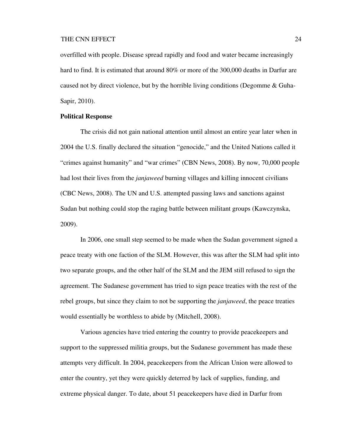overfilled with people. Disease spread rapidly and food and water became increasingly hard to find. It is estimated that around 80% or more of the 300,000 deaths in Darfur are caused not by direct violence, but by the horrible living conditions (Degomme & Guha-Sapir, 2010).

### **Political Response**

 The crisis did not gain national attention until almost an entire year later when in 2004 the U.S. finally declared the situation "genocide," and the United Nations called it "crimes against humanity" and "war crimes" (CBN News, 2008). By now, 70,000 people had lost their lives from the *janjaweed* burning villages and killing innocent civilians (CBC News, 2008). The UN and U.S. attempted passing laws and sanctions against Sudan but nothing could stop the raging battle between militant groups (Kawczynska, 2009).

 In 2006, one small step seemed to be made when the Sudan government signed a peace treaty with one faction of the SLM. However, this was after the SLM had split into two separate groups, and the other half of the SLM and the JEM still refused to sign the agreement. The Sudanese government has tried to sign peace treaties with the rest of the rebel groups, but since they claim to not be supporting the *janjaweed*, the peace treaties would essentially be worthless to abide by (Mitchell, 2008).

 Various agencies have tried entering the country to provide peacekeepers and support to the suppressed militia groups, but the Sudanese government has made these attempts very difficult. In 2004, peacekeepers from the African Union were allowed to enter the country, yet they were quickly deterred by lack of supplies, funding, and extreme physical danger. To date, about 51 peacekeepers have died in Darfur from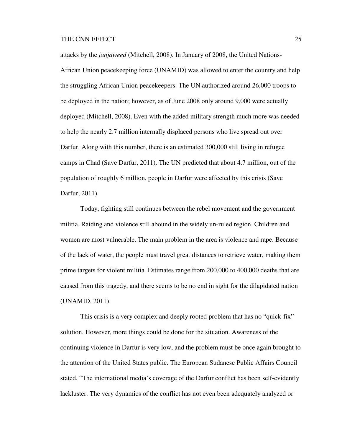attacks by the *janjaweed* (Mitchell, 2008). In January of 2008, the United Nations-African Union peacekeeping force (UNAMID) was allowed to enter the country and help the struggling African Union peacekeepers. The UN authorized around 26,000 troops to be deployed in the nation; however, as of June 2008 only around 9,000 were actually deployed (Mitchell, 2008). Even with the added military strength much more was needed to help the nearly 2.7 million internally displaced persons who live spread out over Darfur. Along with this number, there is an estimated 300,000 still living in refugee camps in Chad (Save Darfur, 2011). The UN predicted that about 4.7 million, out of the population of roughly 6 million, people in Darfur were affected by this crisis (Save Darfur, 2011).

 Today, fighting still continues between the rebel movement and the government militia. Raiding and violence still abound in the widely un-ruled region. Children and women are most vulnerable. The main problem in the area is violence and rape. Because of the lack of water, the people must travel great distances to retrieve water, making them prime targets for violent militia. Estimates range from 200,000 to 400,000 deaths that are caused from this tragedy, and there seems to be no end in sight for the dilapidated nation (UNAMID, 2011).

 This crisis is a very complex and deeply rooted problem that has no "quick-fix" solution. However, more things could be done for the situation. Awareness of the continuing violence in Darfur is very low, and the problem must be once again brought to the attention of the United States public. The European Sudanese Public Affairs Council stated, "The international media's coverage of the Darfur conflict has been self-evidently lackluster. The very dynamics of the conflict has not even been adequately analyzed or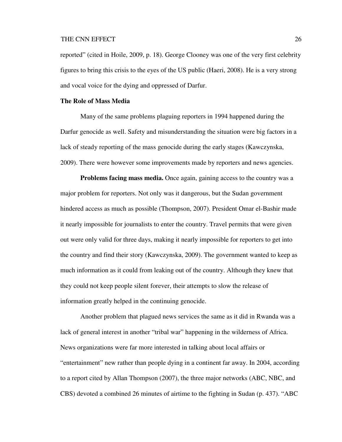reported" (cited in Hoile, 2009, p. 18). George Clooney was one of the very first celebrity figures to bring this crisis to the eyes of the US public (Haeri, 2008). He is a very strong and vocal voice for the dying and oppressed of Darfur.

# **The Role of Mass Media**

 Many of the same problems plaguing reporters in 1994 happened during the Darfur genocide as well. Safety and misunderstanding the situation were big factors in a lack of steady reporting of the mass genocide during the early stages (Kawczynska, 2009). There were however some improvements made by reporters and news agencies.

**Problems facing mass media.** Once again, gaining access to the country was a major problem for reporters. Not only was it dangerous, but the Sudan government hindered access as much as possible (Thompson, 2007). President Omar el-Bashir made it nearly impossible for journalists to enter the country. Travel permits that were given out were only valid for three days, making it nearly impossible for reporters to get into the country and find their story (Kawczynska, 2009). The government wanted to keep as much information as it could from leaking out of the country. Although they knew that they could not keep people silent forever, their attempts to slow the release of information greatly helped in the continuing genocide.

 Another problem that plagued news services the same as it did in Rwanda was a lack of general interest in another "tribal war" happening in the wilderness of Africa. News organizations were far more interested in talking about local affairs or "entertainment" new rather than people dying in a continent far away. In 2004, according to a report cited by Allan Thompson (2007), the three major networks (ABC, NBC, and CBS) devoted a combined 26 minutes of airtime to the fighting in Sudan (p. 437). "ABC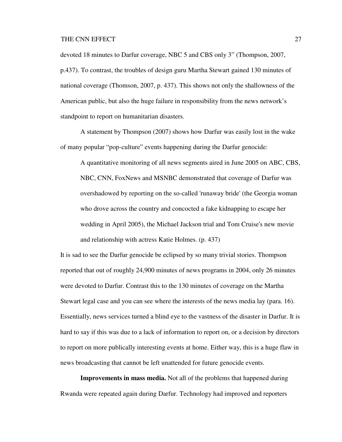devoted 18 minutes to Darfur coverage, NBC 5 and CBS only 3" (Thompson, 2007, p.437). To contrast, the troubles of design guru Martha Stewart gained 130 minutes of national coverage (Thomson, 2007, p. 437). This shows not only the shallowness of the American public, but also the huge failure in responsibility from the news network's standpoint to report on humanitarian disasters.

 A statement by Thompson (2007) shows how Darfur was easily lost in the wake of many popular "pop-culture" events happening during the Darfur genocide:

A quantitative monitoring of all news segments aired in June 2005 on ABC, CBS, NBC, CNN, FoxNews and MSNBC demonstrated that coverage of Darfur was overshadowed by reporting on the so-called 'runaway bride' (the Georgia woman who drove across the country and concocted a fake kidnapping to escape her wedding in April 2005), the Michael Jackson trial and Tom Cruise's new movie and relationship with actress Katie Holmes. (p. 437)

It is sad to see the Darfur genocide be eclipsed by so many trivial stories. Thompson reported that out of roughly 24,900 minutes of news programs in 2004, only 26 minutes were devoted to Darfur. Contrast this to the 130 minutes of coverage on the Martha Stewart legal case and you can see where the interests of the news media lay (para. 16). Essentially, news services turned a blind eye to the vastness of the disaster in Darfur. It is hard to say if this was due to a lack of information to report on, or a decision by directors to report on more publically interesting events at home. Either way, this is a huge flaw in news broadcasting that cannot be left unattended for future genocide events.

**Improvements in mass media.** Not all of the problems that happened during Rwanda were repeated again during Darfur. Technology had improved and reporters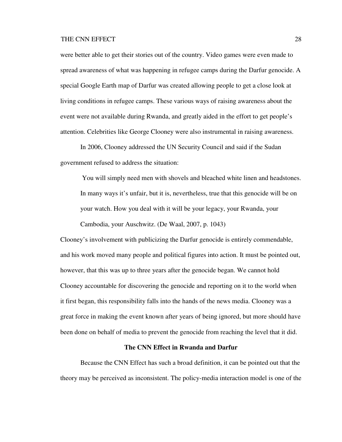were better able to get their stories out of the country. Video games were even made to spread awareness of what was happening in refugee camps during the Darfur genocide. A special Google Earth map of Darfur was created allowing people to get a close look at living conditions in refugee camps. These various ways of raising awareness about the event were not available during Rwanda, and greatly aided in the effort to get people's attention. Celebrities like George Clooney were also instrumental in raising awareness.

In 2006, Clooney addressed the UN Security Council and said if the Sudan government refused to address the situation:

 You will simply need men with shovels and bleached white linen and headstones. In many ways it's unfair, but it is, nevertheless, true that this genocide will be on your watch. How you deal with it will be your legacy, your Rwanda, your

Cambodia, your Auschwitz. (De Waal, 2007, p. 1043)

Clooney's involvement with publicizing the Darfur genocide is entirely commendable, and his work moved many people and political figures into action. It must be pointed out, however, that this was up to three years after the genocide began. We cannot hold Clooney accountable for discovering the genocide and reporting on it to the world when it first began, this responsibility falls into the hands of the news media. Clooney was a great force in making the event known after years of being ignored, but more should have been done on behalf of media to prevent the genocide from reaching the level that it did.

# **The CNN Effect in Rwanda and Darfur**

 Because the CNN Effect has such a broad definition, it can be pointed out that the theory may be perceived as inconsistent. The policy-media interaction model is one of the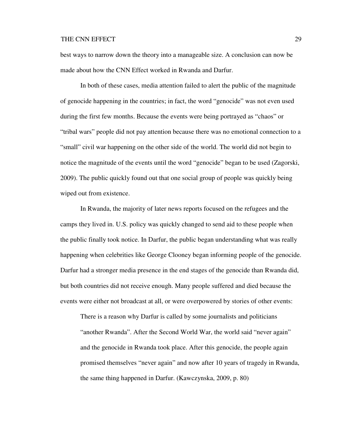best ways to narrow down the theory into a manageable size. A conclusion can now be made about how the CNN Effect worked in Rwanda and Darfur.

 In both of these cases, media attention failed to alert the public of the magnitude of genocide happening in the countries; in fact, the word "genocide" was not even used during the first few months. Because the events were being portrayed as "chaos" or "tribal wars" people did not pay attention because there was no emotional connection to a "small" civil war happening on the other side of the world. The world did not begin to notice the magnitude of the events until the word "genocide" began to be used (Zagorski, 2009). The public quickly found out that one social group of people was quickly being wiped out from existence.

 In Rwanda, the majority of later news reports focused on the refugees and the camps they lived in. U.S. policy was quickly changed to send aid to these people when the public finally took notice. In Darfur, the public began understanding what was really happening when celebrities like George Clooney began informing people of the genocide. Darfur had a stronger media presence in the end stages of the genocide than Rwanda did, but both countries did not receive enough. Many people suffered and died because the events were either not broadcast at all, or were overpowered by stories of other events:

There is a reason why Darfur is called by some journalists and politicians "another Rwanda". After the Second World War, the world said "never again" and the genocide in Rwanda took place. After this genocide, the people again promised themselves "never again" and now after 10 years of tragedy in Rwanda, the same thing happened in Darfur. (Kawczynska, 2009, p. 80)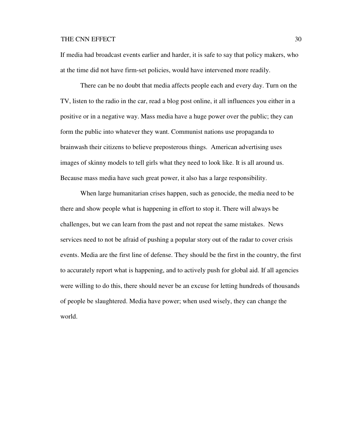If media had broadcast events earlier and harder, it is safe to say that policy makers, who at the time did not have firm-set policies, would have intervened more readily.

 There can be no doubt that media affects people each and every day. Turn on the TV, listen to the radio in the car, read a blog post online, it all influences you either in a positive or in a negative way. Mass media have a huge power over the public; they can form the public into whatever they want. Communist nations use propaganda to brainwash their citizens to believe preposterous things. American advertising uses images of skinny models to tell girls what they need to look like. It is all around us. Because mass media have such great power, it also has a large responsibility.

 When large humanitarian crises happen, such as genocide, the media need to be there and show people what is happening in effort to stop it. There will always be challenges, but we can learn from the past and not repeat the same mistakes. News services need to not be afraid of pushing a popular story out of the radar to cover crisis events. Media are the first line of defense. They should be the first in the country, the first to accurately report what is happening, and to actively push for global aid. If all agencies were willing to do this, there should never be an excuse for letting hundreds of thousands of people be slaughtered. Media have power; when used wisely, they can change the world.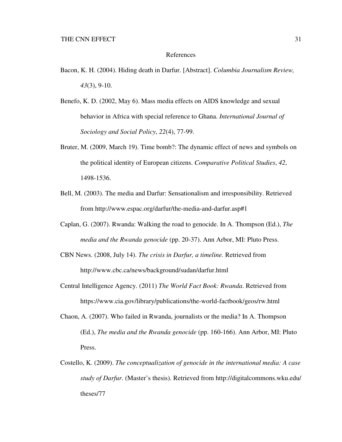### References

- Bacon, K. H. (2004). Hiding death in Darfur. [Abstract]. *Columbia Journalism Review, 43*(3), 9-10.
- Benefo, K. D. (2002, May 6). Mass media effects on AIDS knowledge and sexual behavior in Africa with special reference to Ghana. *International Journal of Sociology and Social Policy*, *22*(4), 77-99.
- Bruter, M. (2009, March 19). Time bomb?: The dynamic effect of news and symbols on the political identity of European citizens. *Comparative Political Studies*, *42*, 1498-1536.
- Bell, M. (2003). The media and Darfur: Sensationalism and irresponsibility. Retrieved from http://www.espac.org/darfur/the-media-and-darfur.asp#1
- Caplan, G. (2007). Rwanda: Walking the road to genocide. In A. Thompson (Ed.), *The media and the Rwanda genocide* (pp. 20-37). Ann Arbor, MI: Pluto Press.
- CBN News. (2008, July 14). *The crisis in Darfur, a timeline.* Retrieved from http://www.cbc.ca/news/background/sudan/darfur.html
- Central Intelligence Agency. (2011) *The World Fact Book: Rwanda*. Retrieved from https://www.cia.gov/library/publications/the-world-factbook/geos/rw.html
- Chaon, A. (2007). Who failed in Rwanda, journalists or the media? In A. Thompson (Ed.), *The media and the Rwanda genocide* (pp. 160-166). Ann Arbor, MI: Pluto Press.
- Costello, K. (2009). *The conceptualization of genocide in the international media: A case study of Darfur.* (Master's thesis). Retrieved from http://digitalcommons.wku.edu/ theses/77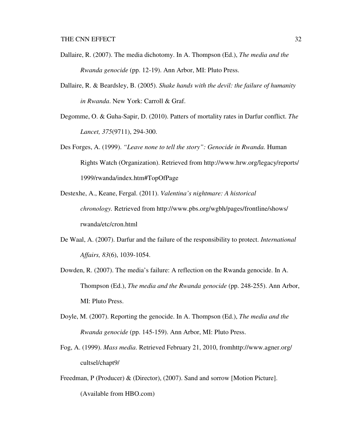- Dallaire, R. (2007). The media dichotomy. In A. Thompson (Ed.), *The media and the Rwanda genocide* (pp. 12-19). Ann Arbor, MI: Pluto Press.
- Dallaire, R. & Beardsley, B. (2005). *Shake hands with the devil: the failure of humanity in Rwanda*. New York: Carroll & Graf.
- Degomme, O. & Guha-Sapir, D. (2010). Patters of mortality rates in Darfur conflict. *The Lancet, 375*(9711), 294-300.
- Des Forges, A. (1999). *"Leave none to tell the story": Genocide in Rwanda.* Human Rights Watch (Organization). Retrieved from http://www.hrw.org/legacy/reports/ 1999/rwanda/index.htm#TopOfPage
- Destexhe, A., Keane, Fergal. (2011). *Valentina's nightmare: A historical chronology.* Retrieved from http://www.pbs.org/wgbh/pages/frontline/shows/ rwanda/etc/cron.html
- De Waal, A. (2007). Darfur and the failure of the responsibility to protect. *International Affairs, 83*(6), 1039-1054.
- Dowden, R. (2007). The media's failure: A reflection on the Rwanda genocide. In A. Thompson (Ed.), *The media and the Rwanda genocide* (pp. 248-255). Ann Arbor, MI: Pluto Press.
- Doyle, M. (2007). Reporting the genocide. In A. Thompson (Ed.), *The media and the Rwanda genocide* (pp. 145-159). Ann Arbor, MI: Pluto Press.
- Fog, A. (1999). *Mass media*. Retrieved February 21, 2010, fromhttp://www.agner.org/ cultsel/chapt9/
- Freedman, P (Producer) & (Director), (2007). Sand and sorrow [Motion Picture]. (Available from HBO.com)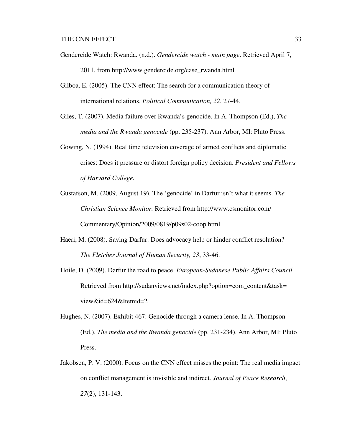- Gendercide Watch: Rwanda. (n.d.). *Gendercide watch main page*. Retrieved April 7, 2011, from http://www.gendercide.org/case\_rwanda.html
- Gilboa, E. (2005). The CNN effect: The search for a communication theory of international relations. *Political Communication, 22*, 27-44.
- Giles, T. (2007). Media failure over Rwanda's genocide. In A. Thompson (Ed.), *The media and the Rwanda genocide* (pp. 235-237). Ann Arbor, MI: Pluto Press.
- Gowing, N. (1994). Real time television coverage of armed conflicts and diplomatic crises: Does it pressure or distort foreign policy decision. *President and Fellows of Harvard College.*
- Gustafson, M. (2009, August 19). The 'genocide' in Darfur isn't what it seems. *The Christian Science Monitor.* Retrieved from http://www.csmonitor.com/ Commentary/Opinion/2009/0819/p09s02-coop.html
- Haeri, M. (2008). Saving Darfur: Does advocacy help or hinder conflict resolution? *The Fletcher Journal of Human Security, 23*, 33-46.
- Hoile, D. (2009). Darfur the road to peace. *European-Sudanese Public Affairs Council.* Retrieved from http://sudanviews.net/index.php?option=com\_content&task= view&id=624&Itemid=2
- Hughes, N. (2007). Exhibit 467: Genocide through a camera lense. In A. Thompson (Ed.), *The media and the Rwanda genocide* (pp. 231-234). Ann Arbor, MI: Pluto Press.
- Jakobsen, P. V. (2000). Focus on the CNN effect misses the point: The real media impact on conflict management is invisible and indirect. *Journal of Peace Research*, *27*(2), 131-143.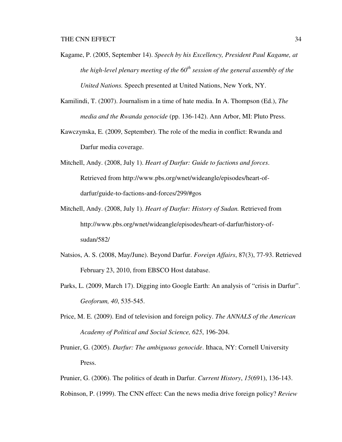- Kagame, P. (2005, September 14). *Speech by his Excellency, President Paul Kagame, at the high-level plenary meeting of the 60<sup>th</sup> session of the general assembly of the United Nations.* Speech presented at United Nations, New York, NY.
- Kamilindi, T. (2007). Journalism in a time of hate media. In A. Thompson (Ed.), *The media and the Rwanda genocide* (pp. 136-142). Ann Arbor, MI: Pluto Press.
- Kawczynska, E. (2009, September). The role of the media in conflict: Rwanda and Darfur media coverage.
- Mitchell, Andy. (2008, July 1). *Heart of Darfur: Guide to factions and forces*. Retrieved from http://www.pbs.org/wnet/wideangle/episodes/heart-of darfur/guide-to-factions-and-forces/299/#gos
- Mitchell, Andy. (2008, July 1). *Heart of Darfur: History of Sudan.* Retrieved from http://www.pbs.org/wnet/wideangle/episodes/heart-of-darfur/history-of sudan/582/
- Natsios, A. S. (2008, May/June). Beyond Darfur. *Foreign Affairs*, 87(3), 77-93. Retrieved February 23, 2010, from EBSCO Host database.
- Parks, L. (2009, March 17). Digging into Google Earth: An analysis of "crisis in Darfur". *Geoforum, 40*, 535-545.
- Price, M. E. (2009). End of television and foreign policy. *The ANNALS of the American Academy of Political and Social Science, 625*, 196-204.
- Prunier, G. (2005). *Darfur: The ambiguous genocide*. Ithaca, NY: Cornell University Press.
- Prunier, G. (2006). The politics of death in Darfur. *Current History*, *15*(691), 136-143.
- Robinson, P. (1999). The CNN effect: Can the news media drive foreign policy? *Review*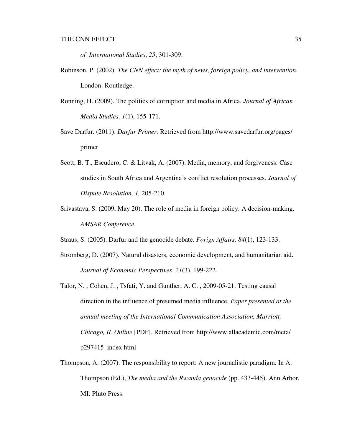*of International Studies*, *25*, 301-309.

- Robinson, P. (2002). *The CNN effect: the myth of news, foreign policy, and intervention*. London: Routledge.
- Ronning, H. (2009). The politics of corruption and media in Africa. *Journal of African Media Studies, 1*(1), 155-171.
- Save Darfur. (2011). *Darfur Primer.* Retrieved from http://www.savedarfur.org/pages/ primer
- Scott, B. T., Escudero, C. & Litvak, A. (2007). Media, memory, and forgiveness: Case studies in South Africa and Argentina's conflict resolution processes. *Journal of Dispute Resolution, 1,* 205-210.
- Srivastava, S. (2009, May 20). The role of media in foreign policy: A decision-making. *AMSAR Conference.*
- Straus, S. (2005). Darfur and the genocide debate. *Forign Affairs, 84*(1), 123-133.
- Stromberg, D. (2007). Natural disasters, economic development, and humanitarian aid. *Journal of Economic Perspectives*, *21*(3), 199-222.
- Talor, N. , Cohen, J. , Tsfati, Y. and Gunther, A. C. , 2009-05-21. Testing causal direction in the influence of presumed media influence. *Paper presented at the annual meeting of the International Communication Association, Marriott, Chicago, IL Online* [PDF]. Retrieved from http://www.allacademic.com/meta/ p297415\_index.html
- Thompson, A. (2007). The responsibility to report: A new journalistic paradigm. In A. Thompson (Ed.), *The media and the Rwanda genocide* (pp. 433-445). Ann Arbor, MI: Pluto Press.